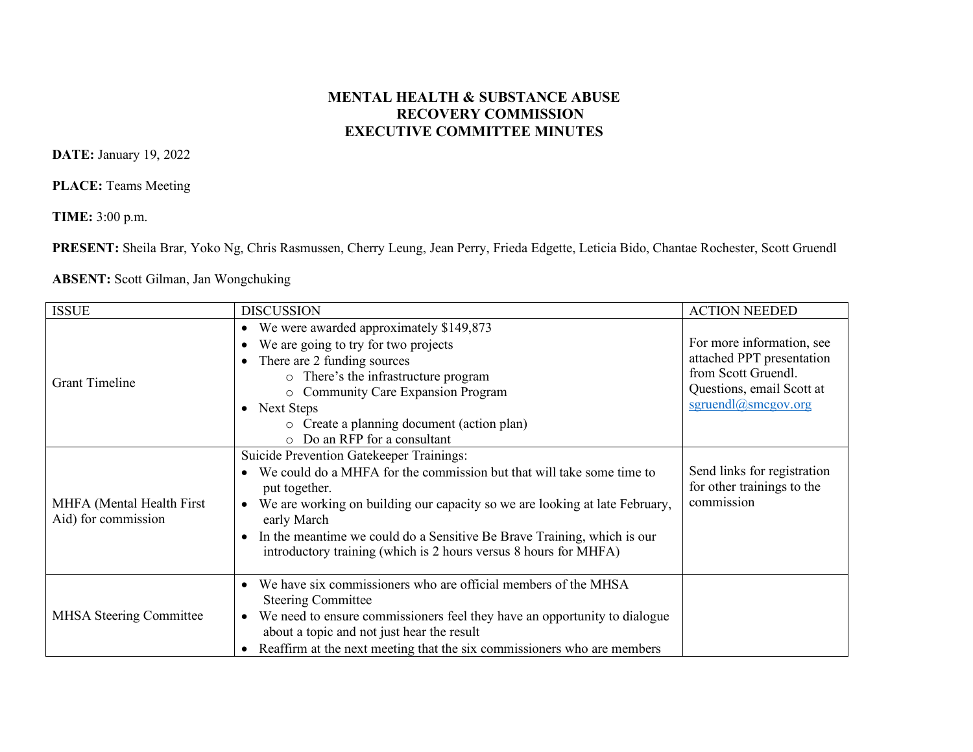## **MENTAL HEALTH & SUBSTANCE ABUSE RECOVERY COMMISSION EXECUTIVE COMMITTEE MINUTES**

**DATE:** January 19, 2022

**PLACE:** Teams Meeting

**TIME:** 3:00 p.m.

**PRESENT:** Sheila Brar, Yoko Ng, Chris Rasmussen, Cherry Leung, Jean Perry, Frieda Edgette, Leticia Bido, Chantae Rochester, Scott Gruendl

## **ABSENT:** Scott Gilman, Jan Wongchuking

| <b>ISSUE</b>                                     | <b>DISCUSSION</b>                                                                                                                                                                                                                                                                                                                                                                                   | <b>ACTION NEEDED</b>                                                                                                              |
|--------------------------------------------------|-----------------------------------------------------------------------------------------------------------------------------------------------------------------------------------------------------------------------------------------------------------------------------------------------------------------------------------------------------------------------------------------------------|-----------------------------------------------------------------------------------------------------------------------------------|
| <b>Grant Timeline</b>                            | We were awarded approximately \$149,873<br>$\bullet$<br>We are going to try for two projects<br>$\bullet$<br>There are 2 funding sources<br>o There's the infrastructure program<br>o Community Care Expansion Program<br><b>Next Steps</b><br>$\bullet$<br>o Create a planning document (action plan)<br>Do an RFP for a consultant<br>$\cap$                                                      | For more information, see<br>attached PPT presentation<br>from Scott Gruendl.<br>Questions, email Scott at<br>sgruendl@smcgov.org |
| MHFA (Mental Health First<br>Aid) for commission | <b>Suicide Prevention Gatekeeper Trainings:</b><br>We could do a MHFA for the commission but that will take some time to<br>put together.<br>We are working on building our capacity so we are looking at late February,<br>early March<br>In the meantime we could do a Sensitive Be Brave Training, which is our<br>$\bullet$<br>introductory training (which is 2 hours versus 8 hours for MHFA) | Send links for registration<br>for other trainings to the<br>commission                                                           |
| <b>MHSA Steering Committee</b>                   | We have six commissioners who are official members of the MHSA<br>$\bullet$<br><b>Steering Committee</b><br>We need to ensure commissioners feel they have an opportunity to dialogue<br>$\bullet$<br>about a topic and not just hear the result<br>Reaffirm at the next meeting that the six commissioners who are members                                                                         |                                                                                                                                   |